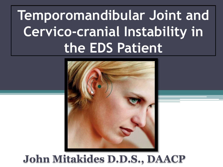# **Temporomandibular Joint and Cervico-cranial Instability in the EDS Patient**



#### **John Mitakides D.D.S., DAACP**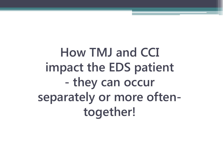**How TMJ and CCI impact the EDS patient - they can occur separately or more oftentogether!**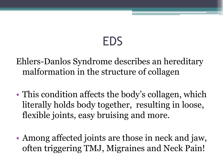## EDS

Ehlers-Danlos Syndrome describes an hereditary malformation in the structure of collagen

- This condition affects the body's collagen, which literally holds body together, resulting in loose, flexible joints, easy bruising and more.
- Among affected joints are those in neck and jaw, often triggering TMJ, Migraines and Neck Pain!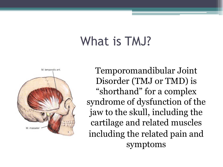### What is TMJ?



Temporomandibular Joint Disorder (TMJ or TMD) is "shorthand" for a complex syndrome of dysfunction of the jaw to the skull, including the cartilage and related muscles including the related pain and symptoms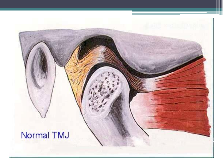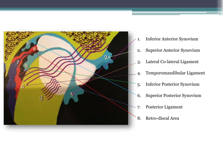

- 1. Inferior Anterior Synovium
- 2. Superior Anterior Synovium
- 3. Lateral Co-lateral Ligament
- 4. Temporomandibular Ligament
- 5. Inferior Posterior Synovium
- 6. Superior Posterior Synovium
- 7. Posterior Ligament
- 8. Retro-discal Area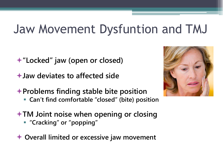#### Jaw Movement Dysfuntion and TMJ

- **"Locked" jaw (open or closed)**
- **Jaw deviates to affected side**
- **Problems finding stable bite position**
	- **Can't find comfortable "closed" (bite) position**
- **TM Joint noise when opening or closing**
	- **"Cracking" or "popping"**
- **Overall limited or excessive jaw movement**

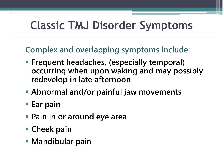#### **Classic TMJ Disorder Symptoms**

**Complex and overlapping symptoms include:**

- **Frequent headaches, (especially temporal) occurring when upon waking and may possibly redevelop in late afternoon**
- **Abnormal and/or painful jaw movements**
- **Ear pain**
- **Pain in or around eye area**
- **Cheek pain**
- **Mandibular pain**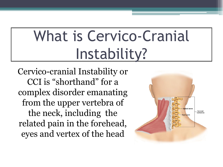# What is Cervico-Cranial Instability?

Cervico-cranial Instability or CCI is "shorthand" for a complex disorder emanating from the upper vertebra of the neck, including the related pain in the forehead, eyes and vertex of the head

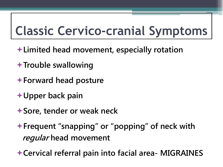## **Classic Cervico-cranial Symptoms**

- **Limited head movement, especially rotation**
- **Trouble swallowing**
- **Forward head posture**
- **Upper back pain**
- **Sore, tender or weak neck**
- **Frequent "snapping" or "popping" of neck with regular head movement**

**Cervical referral pain into facial area- MIGRAINES**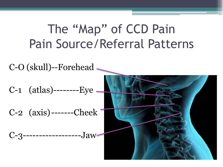### The "Map" of CCD Pain Pain Source/Referral Patterns

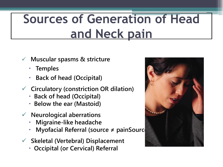## **Sources of Generation of Head and Neck pain**

- **Muscular spasms & stricture**
	- **Temples**
	- **Back of head (Occipital)**
- **Circulatory (constriction OR dilation)**
	- **Back of head (Occipital)**
	- **Below the ear (Mastoid)**
- **Neurological aberrations**
	- **Migraine-like headache**
	- **Myofacial Referral (source ≠ painSources)**
- **Skeletal (Vertebral) Displacement**
	- **Occipital (or Cervical) Referral**

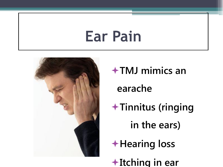# **Ear Pain**



**TMJ mimics an earache Tinnitus (ringing in the ears)**

**Hearing loss**

**Itching in ear**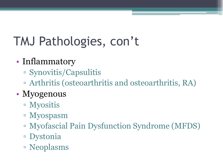## TMJ Pathologies, con't

#### • Inflammatory

- Synovitis/Capsulitis
- Arthritis (osteoarthritis and osteoarthritis, RA)

#### • Myogenous

- Myositis
- Myospasm
- Myofascial Pain Dysfunction Syndrome (MFDS)
- Dystonia
- Neoplasms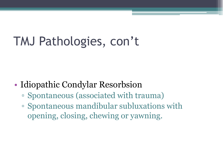## TMJ Pathologies, con't

- Idiopathic Condylar Resorbsion
	- Spontaneous (associated with trauma)
	- Spontaneous mandibular subluxations with opening, closing, chewing or yawning.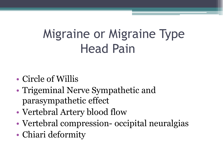### Migraine or Migraine Type Head Pain

- Circle of Willis
- Trigeminal Nerve Sympathetic and parasympathetic effect
- Vertebral Artery blood flow
- Vertebral compression- occipital neuralgias
- Chiari deformity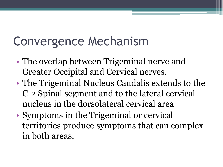## Convergence Mechanism

- The overlap between Trigeminal nerve and Greater Occipital and Cervical nerves.
- The Trigeminal Nucleus Caudalis extends to the C-2 Spinal segment and to the lateral cervical nucleus in the dorsolateral cervical area
- Symptoms in the Trigeminal or cervical territories produce symptoms that can complex in both areas.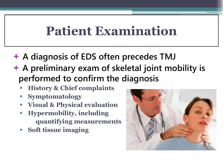#### **Patient Examination**

- **A diagnosis of EDS often precedes TMJ**
- **A preliminary exam of skeletal joint mobility is performed to confirm the diagnosis**
	- **History & Chief complaints**
	- **Symptomatology**
	- **Visual & Physical evaluation**
	- **Hypermobility, including quantifying measurements**
	- **Soft tissue imaging**

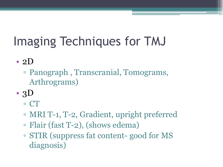## Imaging Techniques for TMJ

• 2 $D$ 

- Panograph , Transcranial, Tomograms, Arthrograms)
- $\cdot$  3D
	- CT
	- MRI T-1, T-2, Gradient, upright preferred
	- Flair (fast T-2), (shows edema)
	- STIR (suppress fat content- good for MS diagnosis)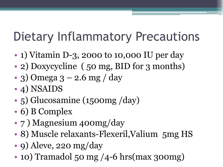## Dietary Inflammatory Precautions

- 1) Vitamin D-3, 2000 to 10,000 IU per day
- 2) Doxycycline (50 mg, BID for 3 months)
- 3) Omega 3 2.6 mg / day
- 4) NSAIDS
- 5) Glucosamine (1500mg /day)
- 6) B Complex
- 7 ) Magnesium 400mg/day
- 8) Muscle relaxants-Flexeril, Valium 5 mg HS
- 9) Aleve, 220 mg/day
- 10) Tramadol 50 mg /4-6 hrs(max 300mg)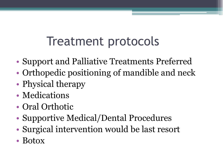### Treatment protocols

- Support and Palliative Treatments Preferred
- Orthopedic positioning of mandible and neck
- Physical therapy
- Medications
- Oral Orthotic
- Supportive Medical/Dental Procedures
- Surgical intervention would be last resort
- Botox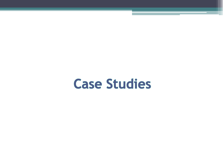### **Case Studies**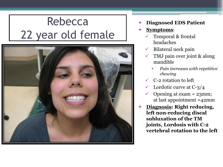#### Rebecca 22 year old female



- **Diagnosed EDS Patient**
- **Symptoms**:
	- Temporal & frontal headaches
	- $\checkmark$  Bilateral neck pain
	- TMJ pain over joint & along mandible
		- *Pain increases with repetitive chewing*
	- C-2 rotation to left
	- $\checkmark$  Lordotic curve at C-3/4
	- $\checkmark$  Opening at exam = 23mm; at last appointment =42mm
- **Diagnosis: Right reducing, left non-reducing discal subluxation of the TM joints, Lordosis with C-2 vertebral rotation to the left**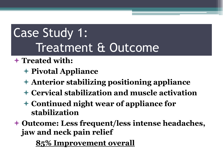### Case Study 1: Treatment & Outcome

#### **Treated with:**

- **Pivotal Appliance**
- **Anterior stabilizing positioning appliance**
- **Cervical stabilization and muscle activation**
- **Continued night wear of appliance for stabilization**
- **Outcome: Less frequent/less intense headaches, jaw and neck pain relief**

**85% Improvement overall**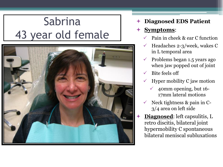#### Sabrina 43 year old female



#### **Diagnosed EDS Patient**

#### **Symptoms**:

- Pain in cheek & ear C function
- Headaches 2-3/week, wakes C in L temporal area
- $\checkmark$  Problems began 1.5 years ago when jaw popped out of joint
- $\checkmark$  Bite feels off
- Hyper mobility C jaw motion
	- $\checkmark$  40mm opening, but 16-17mm lateral motions
- Neck tightness & pain in C-3/4 area on left side
- **Diagnosed**: left capsulitis, L retro discitis, bilateral joint hypermobility C spontaneous bilateral meniscal subluxations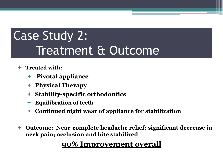## Case Study 2: Treatment & Outcome

- **Treated with:**
	- **Pivotal appliance**
	- **Physical Therapy**
	- **Stability-specific orthodontics**
	- **Equilibration of teeth**
	- **Continued night wear of appliance for stabilization**
- **Outcome: Near-complete headache relief; significant decrease in neck pain; occlusion and bite stabilized**

#### **90% Improvement overall**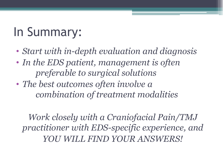## In Summary:

- *Start with in-depth evaluation and diagnosis*
- *In the EDS patient, management is often preferable to surgical solutions*
- *The best outcomes often involve a combination of treatment modalities*

*Work closely with a Craniofacial Pain/TMJ practitioner with EDS-specific experience, and YOU WILL FIND YOUR ANSWERS!*